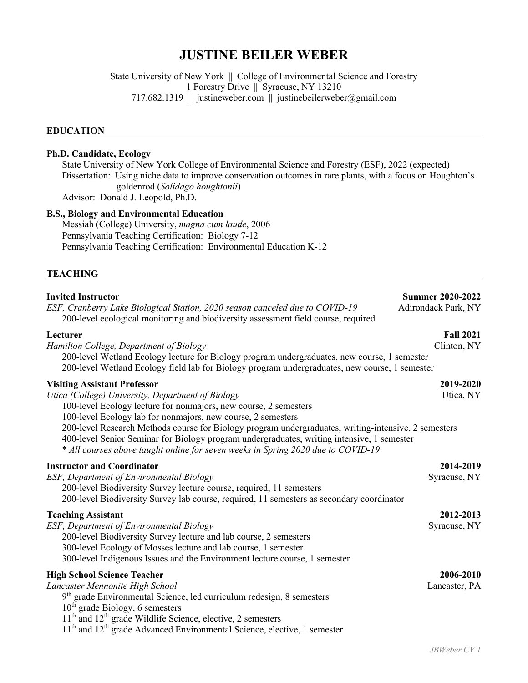# **JUSTINE BEILER WEBER**

State University of New York || College of Environmental Science and Forestry 1 Forestry Drive || Syracuse, NY 13210 717.682.1319 || justineweber.com || justinebeilerweber@gmail.com

#### **EDUCATION**

## **Ph.D. Candidate, Ecology**

State University of New York College of Environmental Science and Forestry (ESF), 2022 (expected) Dissertation: Using niche data to improve conservation outcomes in rare plants, with a focus on Houghton's goldenrod (*Solidago houghtonii*) Advisor: Donald J. Leopold, Ph.D.

**B.S., Biology and Environmental Education**

Messiah (College) University, *magna cum laude*, 2006 Pennsylvania Teaching Certification: Biology 7-12 Pennsylvania Teaching Certification: Environmental Education K-12

#### **TEACHING**

| <b>Invited Instructor</b><br>ESF, Cranberry Lake Biological Station, 2020 season canceled due to COVID-19<br>200-level ecological monitoring and biodiversity assessment field course, required                                                                                                                                                                                                                                                                                                                        | <b>Summer 2020-2022</b><br>Adirondack Park, NY |
|------------------------------------------------------------------------------------------------------------------------------------------------------------------------------------------------------------------------------------------------------------------------------------------------------------------------------------------------------------------------------------------------------------------------------------------------------------------------------------------------------------------------|------------------------------------------------|
| Lecturer<br>Hamilton College, Department of Biology<br>200-level Wetland Ecology lecture for Biology program undergraduates, new course, 1 semester<br>200-level Wetland Ecology field lab for Biology program undergraduates, new course, 1 semester                                                                                                                                                                                                                                                                  | <b>Fall 2021</b><br>Clinton, NY                |
| <b>Visiting Assistant Professor</b><br>Utica (College) University, Department of Biology<br>100-level Ecology lecture for nonmajors, new course, 2 semesters<br>100-level Ecology lab for nonmajors, new course, 2 semesters<br>200-level Research Methods course for Biology program undergraduates, writing-intensive, 2 semesters<br>400-level Senior Seminar for Biology program undergraduates, writing intensive, 1 semester<br>* All courses above taught online for seven weeks in Spring 2020 due to COVID-19 | 2019-2020<br>Utica, NY                         |
| <b>Instructor and Coordinator</b><br>ESF, Department of Environmental Biology<br>200-level Biodiversity Survey lecture course, required, 11 semesters<br>200-level Biodiversity Survey lab course, required, 11 semesters as secondary coordinator                                                                                                                                                                                                                                                                     | 2014-2019<br>Syracuse, NY                      |
| <b>Teaching Assistant</b><br><b>ESF, Department of Environmental Biology</b><br>200-level Biodiversity Survey lecture and lab course, 2 semesters<br>300-level Ecology of Mosses lecture and lab course, 1 semester<br>300-level Indigenous Issues and the Environment lecture course, 1 semester                                                                                                                                                                                                                      | 2012-2013<br>Syracuse, NY                      |
| <b>High School Science Teacher</b><br>Lancaster Mennonite High School<br>$9th$ grade Environmental Science, led curriculum redesign, 8 semesters<br>$10th$ grade Biology, 6 semesters<br>$11th$ and $12th$ grade Wildlife Science, elective, 2 semesters<br>11 <sup>th</sup> and 12 <sup>th</sup> grade Advanced Environmental Science, elective, 1 semester                                                                                                                                                           | 2006-2010<br>Lancaster, PA                     |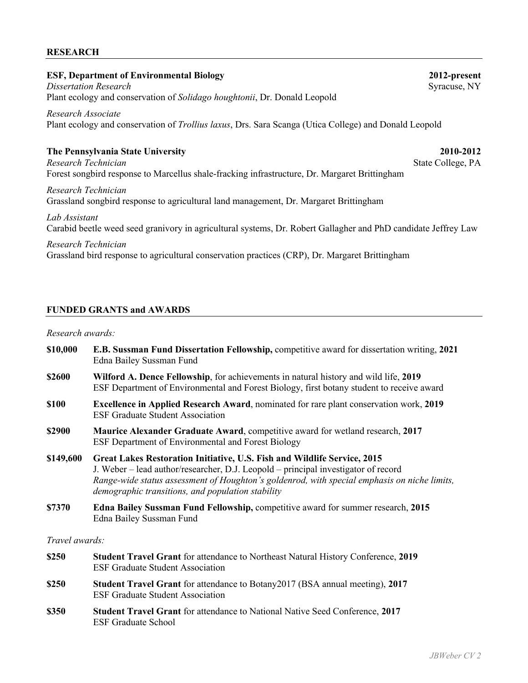#### **RESEARCH**

## **ESF, Department of Environmental Biology 2012-present**

*Dissertation Research* **Syracuse**, NY Plant ecology and conservation of *Solidago houghtonii*, Dr. Donald Leopold

*Research Associate* Plant ecology and conservation of *Trollius laxus*, Drs. Sara Scanga (Utica College) and Donald Leopold

### **The Pennsylvania State University 2010-2012**

*Research Technician* State College, PA Forest songbird response to Marcellus shale-fracking infrastructure, Dr. Margaret Brittingham

*Research Technician* Grassland songbird response to agricultural land management, Dr. Margaret Brittingham

*Lab Assistant* Carabid beetle weed seed granivory in agricultural systems, Dr. Robert Gallagher and PhD candidate Jeffrey Law

#### *Research Technician*

Grassland bird response to agricultural conservation practices (CRP), Dr. Margaret Brittingham

### **FUNDED GRANTS and AWARDS**

## *Research awards:*

- **\$10,000 E.B. Sussman Fund Dissertation Fellowship,** competitive award for dissertation writing, **2021** Edna Bailey Sussman Fund **\$2600 Wilford A. Dence Fellowship**, for achievements in natural history and wild life, **2019**
- ESF Department of Environmental and Forest Biology, first botany student to receive award
- **\$100 Excellence in Applied Research Award**, nominated for rare plant conservation work, **2019** ESF Graduate Student Association
- **\$2900 Maurice Alexander Graduate Award**, competitive award for wetland research, **2017** ESF Department of Environmental and Forest Biology
- **\$149,600 Great Lakes Restoration Initiative, U.S. Fish and Wildlife Service, 2015** J. Weber – lead author/researcher, D.J. Leopold – principal investigator of record *Range-wide status assessment of Houghton's goldenrod, with special emphasis on niche limits, demographic transitions, and population stability*
- **\$7370 Edna Bailey Sussman Fund Fellowship,** competitive award for summer research, **2015** Edna Bailey Sussman Fund

*Travel awards:*

- **\$250 Student Travel Grant** for attendance to Northeast Natural History Conference, **2019** ESF Graduate Student Association
- **\$250 Student Travel Grant** for attendance to Botany2017 (BSA annual meeting), **2017** ESF Graduate Student Association
- **\$350 Student Travel Grant** for attendance to National Native Seed Conference, **2017** ESF Graduate School

*JBWeber CV 2*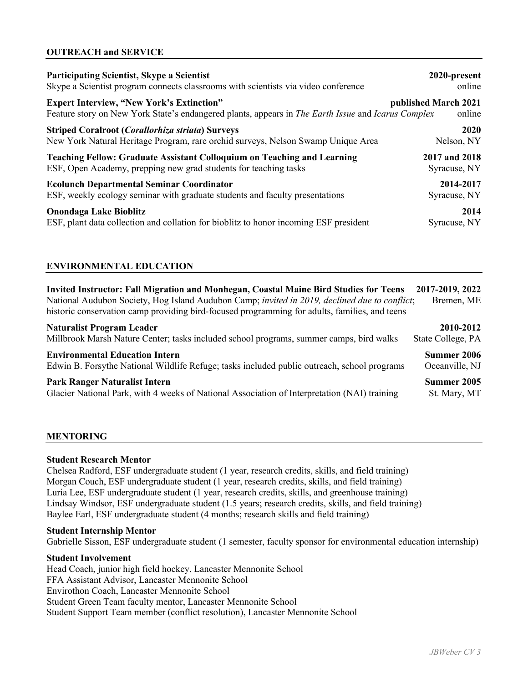# **OUTREACH and SERVICE**

| <b>Participating Scientist, Skype a Scientist</b>                                                  | 2020-present         |
|----------------------------------------------------------------------------------------------------|----------------------|
| Skype a Scientist program connects classrooms with scientists via video conference                 | online               |
| <b>Expert Interview, "New York's Extinction"</b>                                                   | published March 2021 |
| Feature story on New York State's endangered plants, appears in The Earth Issue and Icarus Complex | online               |
| <b>Striped Coralroot (Corallorhiza striata) Surveys</b>                                            | 2020                 |
| New York Natural Heritage Program, rare orchid surveys, Nelson Swamp Unique Area                   | Nelson, NY           |
| <b>Teaching Fellow: Graduate Assistant Colloquium on Teaching and Learning</b>                     | 2017 and 2018        |
| ESF, Open Academy, prepping new grad students for teaching tasks                                   | Syracuse, NY         |
| <b>Ecolunch Departmental Seminar Coordinator</b>                                                   | 2014-2017            |
| ESF, weekly ecology seminar with graduate students and faculty presentations                       | Syracuse, NY         |
| <b>Onondaga Lake Bioblitz</b>                                                                      | 2014                 |
| ESF, plant data collection and collation for bioblitz to honor incoming ESF president              | Syracuse, NY         |

# **ENVIRONMENTAL EDUCATION**

| <b>Invited Instructor: Fall Migration and Monhegan, Coastal Maine Bird Studies for Teens</b><br>National Audubon Society, Hog Island Audubon Camp; invited in 2019, declined due to conflict;<br>historic conservation camp providing bird-focused programming for adults, families, and teens | 2017-2019, 2022<br>Bremen, ME |
|------------------------------------------------------------------------------------------------------------------------------------------------------------------------------------------------------------------------------------------------------------------------------------------------|-------------------------------|
| <b>Naturalist Program Leader</b>                                                                                                                                                                                                                                                               | 2010-2012                     |
| Millbrook Marsh Nature Center; tasks included school programs, summer camps, bird walks                                                                                                                                                                                                        | State College, PA             |
| <b>Environmental Education Intern</b>                                                                                                                                                                                                                                                          | Summer 2006                   |
| Edwin B. Forsythe National Wildlife Refuge; tasks included public outreach, school programs                                                                                                                                                                                                    | Oceanville, NJ                |
| <b>Park Ranger Naturalist Intern</b>                                                                                                                                                                                                                                                           | Summer 2005                   |
| Glacier National Park, with 4 weeks of National Association of Interpretation (NAI) training                                                                                                                                                                                                   | St. Mary, MT                  |

# **MENTORING**

#### **Student Research Mentor**

Chelsea Radford, ESF undergraduate student (1 year, research credits, skills, and field training) Morgan Couch, ESF undergraduate student (1 year, research credits, skills, and field training) Luria Lee, ESF undergraduate student (1 year, research credits, skills, and greenhouse training) Lindsay Windsor, ESF undergraduate student (1.5 years; research credits, skills, and field training) Baylee Earl, ESF undergraduate student (4 months; research skills and field training)

#### **Student Internship Mentor**

Gabrielle Sisson, ESF undergraduate student (1 semester, faculty sponsor for environmental education internship)

# **Student Involvement**

Head Coach, junior high field hockey, Lancaster Mennonite School FFA Assistant Advisor, Lancaster Mennonite School Envirothon Coach, Lancaster Mennonite School Student Green Team faculty mentor, Lancaster Mennonite School Student Support Team member (conflict resolution), Lancaster Mennonite School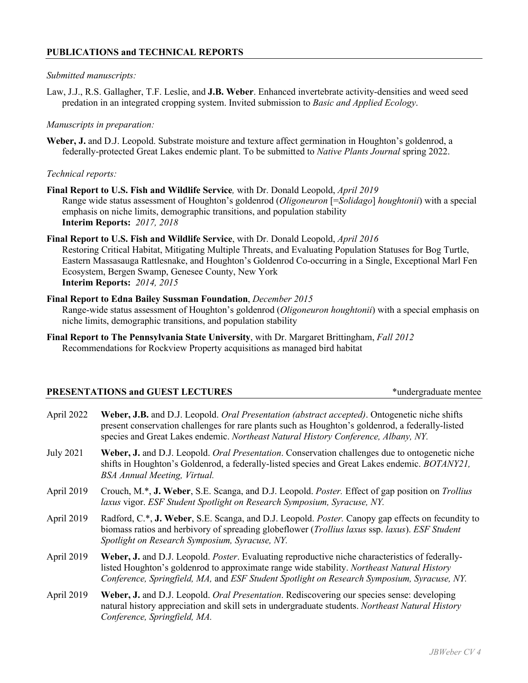# **PUBLICATIONS and TECHNICAL REPORTS**

#### *Submitted manuscripts:*

Law, J.J., R.S. Gallagher, T.F. Leslie, and **J.B. Weber**. Enhanced invertebrate activity-densities and weed seed predation in an integrated cropping system. Invited submission to *Basic and Applied Ecology*.

#### *Manuscripts in preparation:*

**Weber, J.** and D.J. Leopold. Substrate moisture and texture affect germination in Houghton's goldenrod, a federally-protected Great Lakes endemic plant. To be submitted to *Native Plants Journal* spring 2022.

#### *Technical reports:*

**Final Report to U.S. Fish and Wildlife Service***,* with Dr. Donald Leopold, *April 2019* Range wide status assessment of Houghton's goldenrod (*Oligoneuron* [=*Solidago*] *houghtonii*) with a special emphasis on niche limits, demographic transitions, and population stability **Interim Reports:** *2017, 2018*

#### **Final Report to U.S. Fish and Wildlife Service**, with Dr. Donald Leopold, *April 2016*

Restoring Critical Habitat, Mitigating Multiple Threats, and Evaluating Population Statuses for Bog Turtle, Eastern Massasauga Rattlesnake, and Houghton's Goldenrod Co-occurring in a Single, Exceptional Marl Fen Ecosystem, Bergen Swamp, Genesee County, New York **Interim Reports:** *2014, 2015*

- **Final Report to Edna Bailey Sussman Foundation**, *December 2015* Range-wide status assessment of Houghton's goldenrod (*Oligoneuron houghtonii*) with a special emphasis on
	- niche limits, demographic transitions, and population stability
- **Final Report to The Pennsylvania State University**, with Dr. Margaret Brittingham, *Fall 2012* Recommendations for Rockview Property acquisitions as managed bird habitat

# **PRESENTATIONS and GUEST LECTURES** \*undergraduate mentee

| April 2022       | Weber, J.B. and D.J. Leopold. Oral Presentation (abstract accepted). Ontogenetic niche shifts<br>present conservation challenges for rare plants such as Houghton's goldenrod, a federally-listed<br>species and Great Lakes endemic. Northeast Natural History Conference, Albany, NY.      |
|------------------|----------------------------------------------------------------------------------------------------------------------------------------------------------------------------------------------------------------------------------------------------------------------------------------------|
| <b>July 2021</b> | Weber, J. and D.J. Leopold. <i>Oral Presentation</i> . Conservation challenges due to ontogenetic niche<br>shifts in Houghton's Goldenrod, a federally-listed species and Great Lakes endemic. <i>BOTANY21</i> ,<br><b>BSA Annual Meeting, Virtual.</b>                                      |
| April 2019       | Crouch, M.*, J. Weber, S.E. Scanga, and D.J. Leopold. Poster. Effect of gap position on Trollius<br>laxus vigor. ESF Student Spotlight on Research Symposium, Syracuse, NY.                                                                                                                  |
| April 2019       | Radford, C.*, J. Weber, S.E. Scanga, and D.J. Leopold. Poster. Canopy gap effects on fecundity to<br>biomass ratios and herbivory of spreading globeflower (Trollius laxus ssp. laxus). ESF Student<br>Spotlight on Research Symposium, Syracuse, NY.                                        |
| April 2019       | Weber, J. and D.J. Leopold. Poster. Evaluating reproductive niche characteristics of federally-<br>listed Houghton's goldenrod to approximate range wide stability. Northeast Natural History<br>Conference, Springfield, MA, and ESF Student Spotlight on Research Symposium, Syracuse, NY. |
| April 2019       | Weber, J. and D.J. Leopold. <i>Oral Presentation</i> . Rediscovering our species sense: developing<br>natural history appreciation and skill sets in undergraduate students. Northeast Natural History<br>Conference, Springfield, MA.                                                       |